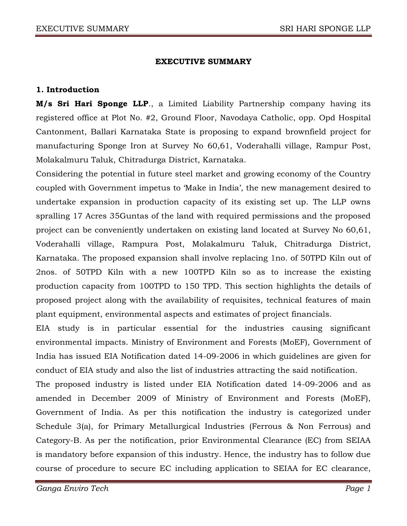### **EXECUTIVE SUMMARY**

## **1. Introduction**

**M/s Sri Hari Sponge LLP**., a Limited Liability Partnership company having its registered office at Plot No. #2, Ground Floor, Navodaya Catholic, opp. Opd Hospital Cantonment, Ballari Karnataka State is proposing to expand brownfield project for manufacturing Sponge Iron at Survey No 60,61, Voderahalli village, Rampur Post, Molakalmuru Taluk, Chitradurga District, Karnataka.

Considering the potential in future steel market and growing economy of the Country coupled with Government impetus to 'Make in India', the new management desired to undertake expansion in production capacity of its existing set up. The LLP owns spralling 17 Acres 35Guntas of the land with required permissions and the proposed project can be conveniently undertaken on existing land located at Survey No 60,61, Voderahalli village, Rampura Post, Molakalmuru Taluk, Chitradurga District, Karnataka. The proposed expansion shall involve replacing 1no. of 50TPD Kiln out of 2nos. of 50TPD Kiln with a new 100TPD Kiln so as to increase the existing production capacity from 100TPD to 150 TPD. This section highlights the details of proposed project along with the availability of requisites, technical features of main plant equipment, environmental aspects and estimates of project financials.

EIA study is in particular essential for the industries causing significant environmental impacts. Ministry of Environment and Forests (MoEF), Government of India has issued EIA Notification dated 14-09-2006 in which guidelines are given for conduct of EIA study and also the list of industries attracting the said notification.

The proposed industry is listed under EIA Notification dated 14-09-2006 and as amended in December 2009 of Ministry of Environment and Forests (MoEF), Government of India. As per this notification the industry is categorized under Schedule 3(a), for Primary Metallurgical Industries (Ferrous & Non Ferrous) and Category-B. As per the notification, prior Environmental Clearance (EC) from SEIAA is mandatory before expansion of this industry. Hence, the industry has to follow due course of procedure to secure EC including application to SEIAA for EC clearance,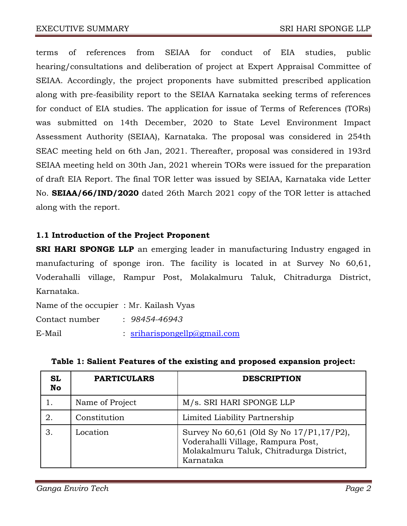terms of references from SEIAA for conduct of EIA studies, public hearing/consultations and deliberation of project at Expert Appraisal Committee of SEIAA. Accordingly, the project proponents have submitted prescribed application along with pre-feasibility report to the SEIAA Karnataka seeking terms of references for conduct of EIA studies. The application for issue of Terms of References (TORs) was submitted on 14th December, 2020 to State Level Environment Impact Assessment Authority (SEIAA), Karnataka. The proposal was considered in 254th SEAC meeting held on 6th Jan, 2021. Thereafter, proposal was considered in 193rd SEIAA meeting held on 30th Jan, 2021 wherein TORs were issued for the preparation of draft EIA Report. The final TOR letter was issued by SEIAA, Karnataka vide Letter No. **SEIAA/66/IND/2020** dated 26th March 2021 copy of the TOR letter is attached along with the report.

## **1.1 Introduction of the Project Proponent**

**SRI HARI SPONGE LLP** an emerging leader in manufacturing Industry engaged in manufacturing of sponge iron. The facility is located in at Survey No 60,61, Voderahalli village, Rampur Post, Molakalmuru Taluk, Chitradurga District, Karnataka.

| Name of the occupier: Mr. Kailash Vyas |                              |
|----------------------------------------|------------------------------|
| Contact number                         | $: 98454 - 46943$            |
| E-Mail                                 | : sriharispongellp@gmail.com |

| <b>SL</b><br><b>No</b> | <b>PARTICULARS</b> | <b>DESCRIPTION</b>                                                                                                                      |
|------------------------|--------------------|-----------------------------------------------------------------------------------------------------------------------------------------|
|                        | Name of Project    | M/s. SRI HARI SPONGE LLP                                                                                                                |
|                        | Constitution       | Limited Liability Partnership                                                                                                           |
|                        | Location           | Survey No 60,61 (Old Sy No 17/P1,17/P2),<br>Voderahalli Village, Rampura Post,<br>Molakalmuru Taluk, Chitradurga District,<br>Karnataka |

**Table 1: Salient Features of the existing and proposed expansion project:**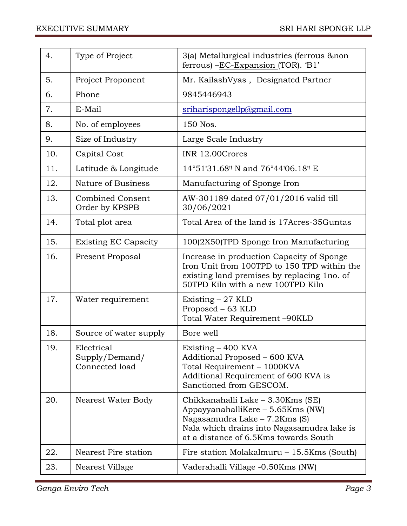| 4.  | Type of Project                                | 3(a) Metallurgical industries (ferrous & non<br>ferrous) $-EC$ -Expansion (TOR). 'B1'                                                                                                          |
|-----|------------------------------------------------|------------------------------------------------------------------------------------------------------------------------------------------------------------------------------------------------|
| 5.  | Project Proponent                              | Mr. KailashVyas, Designated Partner                                                                                                                                                            |
| 6.  | Phone                                          | 9845446943                                                                                                                                                                                     |
| 7.  | E-Mail                                         | sriharispongellp@gmail.com                                                                                                                                                                     |
| 8.  | No. of employees                               | 150 Nos.                                                                                                                                                                                       |
| 9.  | Size of Industry                               | Large Scale Industry                                                                                                                                                                           |
| 10. | Capital Cost                                   | INR 12.00Crores                                                                                                                                                                                |
| 11. | Latitude & Longitude                           | 14°51'31.68" N and 76°44'06.18" E                                                                                                                                                              |
| 12. | Nature of Business                             | Manufacturing of Sponge Iron                                                                                                                                                                   |
| 13. | <b>Combined Consent</b><br>Order by KPSPB      | AW-301189 dated 07/01/2016 valid till<br>30/06/2021                                                                                                                                            |
| 14. | Total plot area                                | Total Area of the land is 17Acres-35Guntas                                                                                                                                                     |
| 15. | <b>Existing EC Capacity</b>                    | 100(2X50)TPD Sponge Iron Manufacturing                                                                                                                                                         |
| 16. | <b>Present Proposal</b>                        | Increase in production Capacity of Sponge<br>Iron Unit from 100TPD to 150 TPD within the<br>existing land premises by replacing 1no. of<br>50TPD Kiln with a new 100TPD Kiln                   |
| 17. | Water requirement                              | Existing $-27$ KLD<br>Proposed – 63 KLD<br>Total Water Requirement -90KLD                                                                                                                      |
| 18. | Source of water supply                         | Bore well                                                                                                                                                                                      |
| 19. | Electrical<br>Supply/Demand/<br>Connected load | Existing - 400 KVA<br>Additional Proposed – 600 KVA<br>Total Requirement - 1000KVA<br>Additional Requirement of 600 KVA is<br>Sanctioned from GESCOM.                                          |
| 20. | Nearest Water Body                             | Chikkanahalli Lake – 3.30Kms (SE)<br>AppayyanahalliKere – 5.65Kms (NW)<br>Nagasamudra Lake – 7.2Kms (S)<br>Nala which drains into Nagasamudra lake is<br>at a distance of 6.5Kms towards South |
| 22. | Nearest Fire station                           | Fire station Molakalmuru – 15.5Kms (South)                                                                                                                                                     |
| 23. | Nearest Village                                | Vaderahalli Village -0.50Kms (NW)                                                                                                                                                              |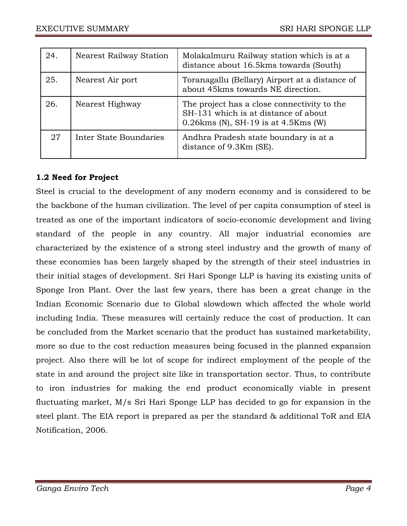| 24. | <b>Nearest Railway Station</b> | Molakalmuru Railway station which is at a<br>distance about 16.5kms towards (South)                                            |
|-----|--------------------------------|--------------------------------------------------------------------------------------------------------------------------------|
| 25. | Nearest Air port               | Toranagallu (Bellary) Airport at a distance of<br>about 45 kms towards NE direction.                                           |
| 26. | Nearest Highway                | The project has a close connectivity to the<br>SH-131 which is at distance of about<br>$0.26$ kms (N), SH-19 is at 4.5 Kms (W) |
| 27  | Inter State Boundaries         | Andhra Pradesh state boundary is at a<br>distance of 9.3Km (SE).                                                               |

# **1.2 Need for Project**

Steel is crucial to the development of any modern economy and is considered to be the backbone of the human civilization. The level of per capita consumption of steel is treated as one of the important indicators of socio-economic development and living standard of the people in any country. All major industrial economies are characterized by the existence of a strong steel industry and the growth of many of these economies has been largely shaped by the strength of their steel industries in their initial stages of development. Sri Hari Sponge LLP is having its existing units of Sponge Iron Plant. Over the last few years, there has been a great change in the Indian Economic Scenario due to Global slowdown which affected the whole world including India. These measures will certainly reduce the cost of production. It can be concluded from the Market scenario that the product has sustained marketability, more so due to the cost reduction measures being focused in the planned expansion project. Also there will be lot of scope for indirect employment of the people of the state in and around the project site like in transportation sector. Thus, to contribute to iron industries for making the end product economically viable in present fluctuating market, M/s Sri Hari Sponge LLP has decided to go for expansion in the steel plant. The EIA report is prepared as per the standard & additional ToR and EIA Notification, 2006.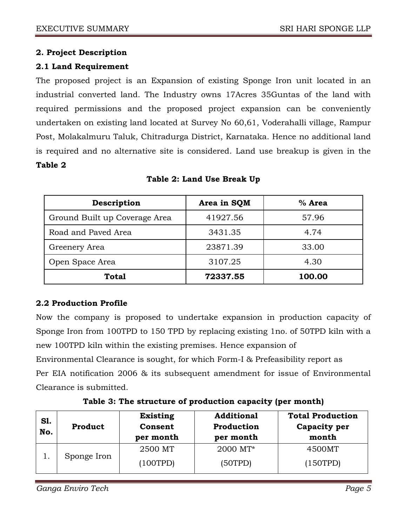## **2. Project Description**

## **2.1 Land Requirement**

The proposed project is an Expansion of existing Sponge Iron unit located in an industrial converted land. The Industry owns 17Acres 35Guntas of the land with required permissions and the proposed project expansion can be conveniently undertaken on existing land located at Survey No 60,61, Voderahalli village, Rampur Post, Molakalmuru Taluk, Chitradurga District, Karnataka. Hence no additional land is required and no alternative site is considered. Land use breakup is given in the **Table 2**

| Description                   | Area in SQM | $%$ Area |
|-------------------------------|-------------|----------|
| Ground Built up Coverage Area | 41927.56    | 57.96    |
| Road and Paved Area           | 3431.35     | 4.74     |
| Greenery Area                 | 23871.39    | 33.00    |
| Open Space Area               | 3107.25     | 4.30     |
| <b>Total</b>                  | 72337.55    | 100.00   |

**Table 2: Land Use Break Up**

## **2.2 Production Profile**

Now the company is proposed to undertake expansion in production capacity of Sponge Iron from 100TPD to 150 TPD by replacing existing 1no. of 50TPD kiln with a new 100TPD kiln within the existing premises. Hence expansion of Environmental Clearance is sought, for which Form-I & Prefeasibility report as

Per EIA notification 2006 & its subsequent amendment for issue of Environmental Clearance is submitted.

| Table 3: The structure of production capacity (per month) |  |  |  |
|-----------------------------------------------------------|--|--|--|
|-----------------------------------------------------------|--|--|--|

| S1.<br>No. | Product     | <b>Existing</b><br>Consent<br>per month | <b>Additional</b><br>Production<br>per month | <b>Total Production</b><br>Capacity per<br>month |
|------------|-------------|-----------------------------------------|----------------------------------------------|--------------------------------------------------|
|            |             | 2500 MT                                 | 2000 MT*                                     | 4500MT                                           |
|            | Sponge Iron | (100TPD)                                | (50TPD)                                      | (150TPD)                                         |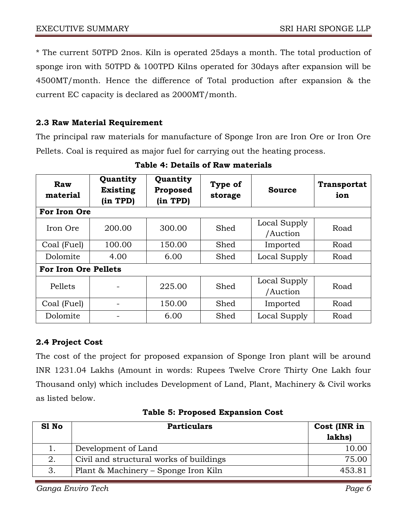\* The current 50TPD 2nos. Kiln is operated 25days a month. The total production of sponge iron with 50TPD & 100TPD Kilns operated for 30days after expansion will be 4500MT/month. Hence the difference of Total production after expansion & the current EC capacity is declared as 2000MT/month.

## **2.3 Raw Material Requirement**

The principal raw materials for manufacture of Sponge Iron are Iron Ore or Iron Ore Pellets. Coal is required as major fuel for carrying out the heating process.

| Raw<br>material             | Quantity<br><b>Existing</b><br>(in TPD) | Quantity<br>Proposed<br>(in TPD) | Type of<br>storage               | <b>Source</b>            | <b>Transportat</b><br>ion |
|-----------------------------|-----------------------------------------|----------------------------------|----------------------------------|--------------------------|---------------------------|
| For Iron Ore                |                                         |                                  |                                  |                          |                           |
| Iron Ore<br>200.00          |                                         | 300.00                           | Shed                             | Local Supply<br>/Auction | Road                      |
| Coal (Fuel)                 | 100.00                                  | 150.00                           | Shed                             | Imported                 | Road                      |
| Dolomite                    | 4.00                                    | 6.00                             | Shed                             | Local Supply             |                           |
| <b>For Iron Ore Pellets</b> |                                         |                                  |                                  |                          |                           |
| Pellets                     |                                         | 225.00                           | Local Supply<br>Shed<br>/Auction |                          | Road                      |
| Coal (Fuel)                 |                                         | 150.00                           | Shed<br>Imported                 |                          | Road                      |
| Dolomite                    |                                         | 6.00                             | Shed                             | Local Supply             | Road                      |

**Table 4: Details of Raw materials**

# **2.4 Project Cost**

The cost of the project for proposed expansion of Sponge Iron plant will be around INR 1231.04 Lakhs (Amount in words: Rupees Twelve Crore Thirty One Lakh four Thousand only) which includes Development of Land, Plant, Machinery & Civil works as listed below.

| S1 No | <b>Particulars</b>                      | Cost (INR in<br>lakhs) |
|-------|-----------------------------------------|------------------------|
|       | Development of Land                     | 10.00                  |
| 2.    | Civil and structural works of buildings | 75.00                  |
| 3.    | Plant & Machinery – Sponge Iron Kiln    | 453.81                 |

## **Table 5: Proposed Expansion Cost**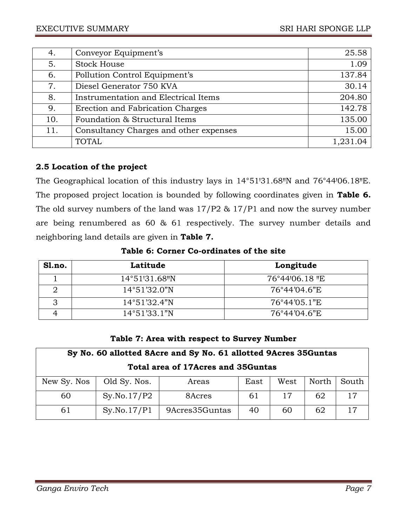| 4.  | Conveyor Equipment's                   | 25.58    |
|-----|----------------------------------------|----------|
| 5.  | <b>Stock House</b>                     | 1.09     |
| 6.  | Pollution Control Equipment's          | 137.84   |
| 7.  | Diesel Generator 750 KVA               | 30.14    |
| 8.  | Instrumentation and Electrical Items   | 204.80   |
| 9.  | Erection and Fabrication Charges       | 142.78   |
| 10. | Foundation & Structural Items          | 135.00   |
| 11. | Consultancy Charges and other expenses | 15.00    |
|     | <b>TOTAL</b>                           | 1,231.04 |

# **2.5 Location of the project**

The Geographical location of this industry lays in 14°51'31.68"N and 76°44'06.18"E. The proposed project location is bounded by following coordinates given in **Table 6.**  The old survey numbers of the land was 17/P2 & 17/P1 and now the survey number are being renumbered as 60 & 61 respectively. The survey number details and neighboring land details are given in **Table 7.** 

**Table 6: Corner Co-ordinates of the site**

| Sl.no. | Latitude               | Longitude      |
|--------|------------------------|----------------|
|        | 14°51'31.68"N          | 76°44'06.18 "E |
|        | $14^{\circ}51'32.0''N$ | 76°44'04.6"E   |
|        | $14^{\circ}51'32.4''N$ | 76°44'05.1"E   |
|        | $14^{\circ}51'33.1''N$ | 76°44'04.6"E   |

## **Table 7: Area with respect to Survey Number**

| Sy No. 60 allotted 8Acre and Sy No. 61 allotted 9Acres 35Guntas        |             |                |    |    |    |    |  |
|------------------------------------------------------------------------|-------------|----------------|----|----|----|----|--|
| Total area of 17Acres and 35Guntas                                     |             |                |    |    |    |    |  |
| Old Sy. Nos.<br>South<br>New Sy. Nos<br>North<br>East<br>West<br>Areas |             |                |    |    |    |    |  |
| 60                                                                     | Sy.No.17/P2 | 8Acres         | 61 | 17 | 62 | 17 |  |
| 61                                                                     | Sy.No.17/P1 | 9Acres35Guntas | 40 | 60 | 62 |    |  |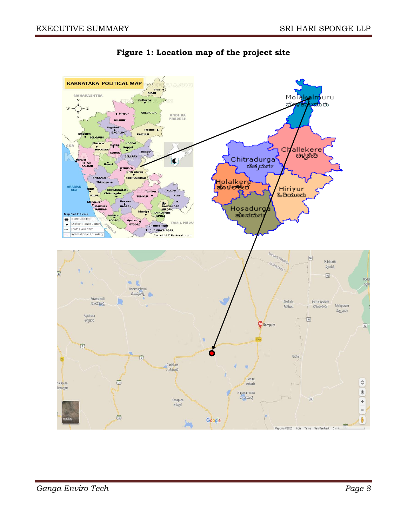

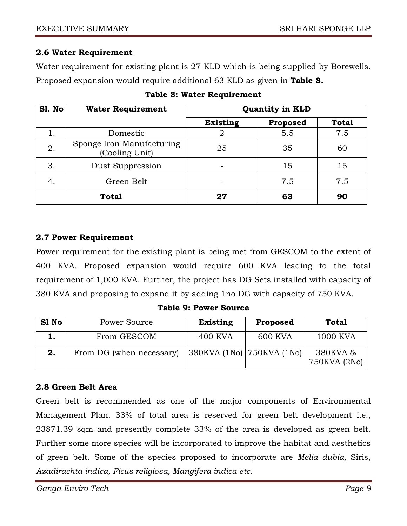## **2.6 Water Requirement**

Water requirement for existing plant is 27 KLD which is being supplied by Borewells. Proposed expansion would require additional 63 KLD as given in **Table 8.**

| Sl. No | <b>Water Requirement</b>                    | <b>Quantity in KLD</b> |          |              |  |
|--------|---------------------------------------------|------------------------|----------|--------------|--|
|        |                                             | <b>Existing</b>        | Proposed | <b>Total</b> |  |
| 1.     | Domestic                                    |                        | 5.5      | 7.5          |  |
| 2.     | Sponge Iron Manufacturing<br>(Cooling Unit) | 25                     | 35       | 60           |  |
| 3.     | Dust Suppression                            |                        | 15       | 15           |  |
| 4.     | Green Belt                                  |                        | 7.5      | 7.5          |  |
|        | <b>Total</b>                                | 27                     | 63       | 90           |  |

|  |  |  | Table 8: Water Requirement |
|--|--|--|----------------------------|
|--|--|--|----------------------------|

## **2.7 Power Requirement**

Power requirement for the existing plant is being met from GESCOM to the extent of 400 KVA. Proposed expansion would require 600 KVA leading to the total requirement of 1,000 KVA. Further, the project has DG Sets installed with capacity of 380 KVA and proposing to expand it by adding 1no DG with capacity of 750 KVA.

**Table 9: Power Source**

| S1 No | Power Source             | <b>Existing</b>                          | Proposed       | <b>Total</b>             |
|-------|--------------------------|------------------------------------------|----------------|--------------------------|
|       | From GESCOM              | 400 KVA                                  | <b>600 KVA</b> | 1000 KVA                 |
| 2.    | From DG (when necessary) | $ 380$ KVA $(1$ No) $ 750$ KVA $(1)$ No) |                | 380KVA &<br>750KVA (2No) |

## **2.8 Green Belt Area**

Green belt is recommended as one of the major components of Environmental Management Plan. 33% of total area is reserved for green belt development i.e., 23871.39 sqm and presently complete 33% of the area is developed as green belt. Further some more species will be incorporated to improve the habitat and aesthetics of green belt. Some of the species proposed to incorporate are *Melia dubia,* Siris, *Azadirachta indica, Ficus religiosa, Mangifera indica etc.*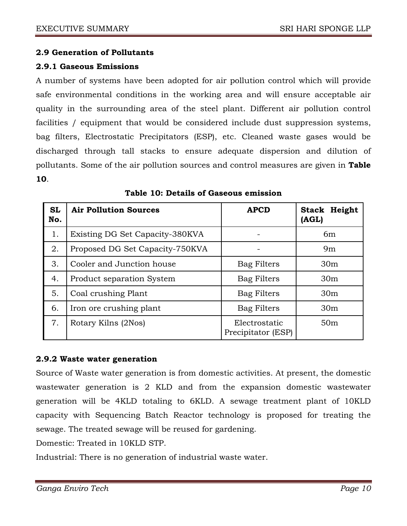## **2.9 Generation of Pollutants**

### **2.9.1 Gaseous Emissions**

A number of systems have been adopted for air pollution control which will provide safe environmental conditions in the working area and will ensure acceptable air quality in the surrounding area of the steel plant. Different air pollution control facilities / equipment that would be considered include dust suppression systems, bag filters, Electrostatic Precipitators (ESP), etc. Cleaned waste gases would be discharged through tall stacks to ensure adequate dispersion and dilution of pollutants. Some of the air pollution sources and control measures are given in **Table 10**.

| <b>SL</b><br>No. | <b>Air Pollution Sources</b>    | <b>APCD</b>                         | <b>Stack Height</b><br>(AGL) |
|------------------|---------------------------------|-------------------------------------|------------------------------|
| 1.               | Existing DG Set Capacity-380KVA |                                     | 6 <sub>m</sub>               |
| 2.               | Proposed DG Set Capacity-750KVA |                                     | 9m                           |
| 3.               | Cooler and Junction house       | Bag Filters                         | 30 <sub>m</sub>              |
| 4.               | Product separation System       | <b>Bag Filters</b>                  | 30 <sub>m</sub>              |
| 5.               | Coal crushing Plant             | <b>Bag Filters</b>                  | 30 <sub>m</sub>              |
| 6.               | Iron ore crushing plant         | Bag Filters                         | 30 <sub>m</sub>              |
| 7.               | Rotary Kilns (2Nos)             | Electrostatic<br>Precipitator (ESP) | 50 <sub>m</sub>              |

|  |  | Table 10: Details of Gaseous emission |
|--|--|---------------------------------------|
|  |  |                                       |

### **2.9.2 Waste water generation**

Source of Waste water generation is from domestic activities. At present, the domestic wastewater generation is 2 KLD and from the expansion domestic wastewater generation will be 4KLD totaling to 6KLD. A sewage treatment plant of 10KLD capacity with Sequencing Batch Reactor technology is proposed for treating the sewage. The treated sewage will be reused for gardening.

Domestic: Treated in 10KLD STP.

Industrial: There is no generation of industrial waste water.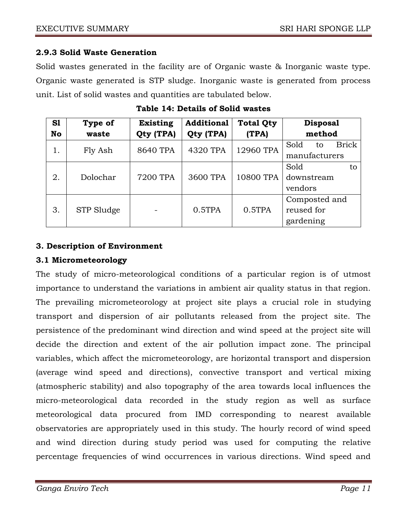## **2.9.3 Solid Waste Generation**

Solid wastes generated in the facility are of Organic waste & Inorganic waste type. Organic waste generated is STP sludge. Inorganic waste is generated from process unit. List of solid wastes and quantities are tabulated below.

| S1 | Type of    | <b>Existing</b> | <b>Additional</b> | <b>Total Qty</b> | <b>Disposal</b>            |  |
|----|------------|-----------------|-------------------|------------------|----------------------------|--|
| No | waste      | Qty (TPA)       | Qty (TPA)         | (TPA)            | method                     |  |
| 1. | Fly Ash    | 8640 TPA        | 4320 TPA          | 12960 TPA        | <b>Brick</b><br>Sold<br>to |  |
|    |            |                 |                   |                  | manufacturers              |  |
| 2. | Dolochar   | 7200 TPA        | 3600 TPA          | 10800 TPA        | Sold<br>to                 |  |
|    |            |                 |                   |                  | downstream                 |  |
|    |            |                 |                   |                  | vendors                    |  |
|    | STP Sludge |                 | 0.5TPA            | 0.5TPA           | Composted and              |  |
| 3. |            |                 |                   |                  | reused for                 |  |
|    |            |                 |                   |                  | gardening                  |  |

## **Table 14: Details of Solid wastes**

## **3. Description of Environment**

### **3.1 Micrometeorology**

The study of micro-meteorological conditions of a particular region is of utmost importance to understand the variations in ambient air quality status in that region. The prevailing micrometeorology at project site plays a crucial role in studying transport and dispersion of air pollutants released from the project site. The persistence of the predominant wind direction and wind speed at the project site will decide the direction and extent of the air pollution impact zone. The principal variables, which affect the micrometeorology, are horizontal transport and dispersion (average wind speed and directions), convective transport and vertical mixing (atmospheric stability) and also topography of the area towards local influences the micro-meteorological data recorded in the study region as well as surface meteorological data procured from IMD corresponding to nearest available observatories are appropriately used in this study. The hourly record of wind speed and wind direction during study period was used for computing the relative percentage frequencies of wind occurrences in various directions. Wind speed and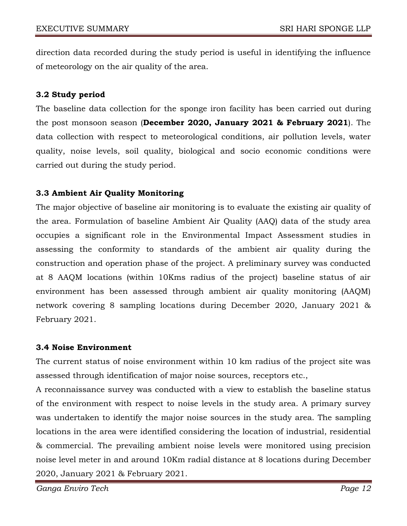direction data recorded during the study period is useful in identifying the influence of meteorology on the air quality of the area.

## **3.2 Study period**

The baseline data collection for the sponge iron facility has been carried out during the post monsoon season (**December 2020, January 2021 & February 2021**). The data collection with respect to meteorological conditions, air pollution levels, water quality, noise levels, soil quality, biological and socio economic conditions were carried out during the study period.

## **3.3 Ambient Air Quality Monitoring**

The major objective of baseline air monitoring is to evaluate the existing air quality of the area. Formulation of baseline Ambient Air Quality (AAQ) data of the study area occupies a significant role in the Environmental Impact Assessment studies in assessing the conformity to standards of the ambient air quality during the construction and operation phase of the project. A preliminary survey was conducted at 8 AAQM locations (within 10Kms radius of the project) baseline status of air environment has been assessed through ambient air quality monitoring (AAQM) network covering 8 sampling locations during December 2020, January 2021 & February 2021.

### **3.4 Noise Environment**

The current status of noise environment within 10 km radius of the project site was assessed through identification of major noise sources, receptors etc.,

A reconnaissance survey was conducted with a view to establish the baseline status of the environment with respect to noise levels in the study area. A primary survey was undertaken to identify the major noise sources in the study area. The sampling locations in the area were identified considering the location of industrial, residential & commercial. The prevailing ambient noise levels were monitored using precision noise level meter in and around 10Km radial distance at 8 locations during December 2020, January 2021 & February 2021.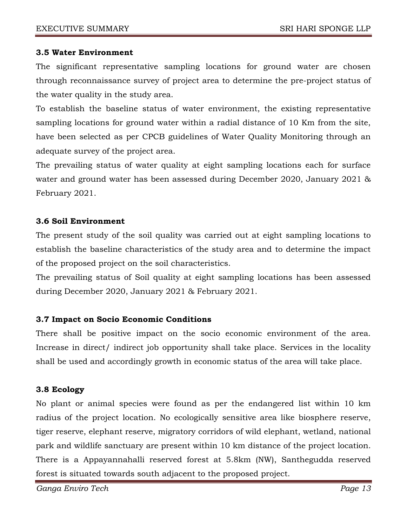### **3.5 Water Environment**

The significant representative sampling locations for ground water are chosen through reconnaissance survey of project area to determine the pre-project status of the water quality in the study area.

To establish the baseline status of water environment, the existing representative sampling locations for ground water within a radial distance of 10 Km from the site, have been selected as per CPCB guidelines of Water Quality Monitoring through an adequate survey of the project area.

The prevailing status of water quality at eight sampling locations each for surface water and ground water has been assessed during December 2020, January 2021 & February 2021.

#### **3.6 Soil Environment**

The present study of the soil quality was carried out at eight sampling locations to establish the baseline characteristics of the study area and to determine the impact of the proposed project on the soil characteristics.

The prevailing status of Soil quality at eight sampling locations has been assessed during December 2020, January 2021 & February 2021.

### **3.7 Impact on Socio Economic Conditions**

There shall be positive impact on the socio economic environment of the area. Increase in direct/ indirect job opportunity shall take place. Services in the locality shall be used and accordingly growth in economic status of the area will take place.

### **3.8 Ecology**

No plant or animal species were found as per the endangered list within 10 km radius of the project location. No ecologically sensitive area like biosphere reserve, tiger reserve, elephant reserve, migratory corridors of wild elephant, wetland, national park and wildlife sanctuary are present within 10 km distance of the project location. There is a Appayannahalli reserved forest at 5.8km (NW), Santhegudda reserved forest is situated towards south adjacent to the proposed project.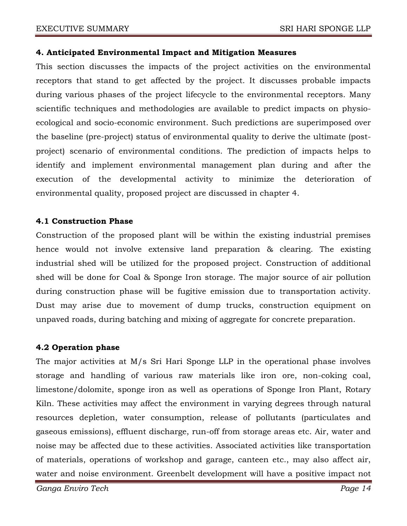#### **4. Anticipated Environmental Impact and Mitigation Measures**

This section discusses the impacts of the project activities on the environmental receptors that stand to get affected by the project. It discusses probable impacts during various phases of the project lifecycle to the environmental receptors. Many scientific techniques and methodologies are available to predict impacts on physioecological and socio-economic environment. Such predictions are superimposed over the baseline (pre-project) status of environmental quality to derive the ultimate (postproject) scenario of environmental conditions. The prediction of impacts helps to identify and implement environmental management plan during and after the execution of the developmental activity to minimize the deterioration of environmental quality, proposed project are discussed in chapter 4.

### **4.1 Construction Phase**

Construction of the proposed plant will be within the existing industrial premises hence would not involve extensive land preparation & clearing. The existing industrial shed will be utilized for the proposed project. Construction of additional shed will be done for Coal & Sponge Iron storage. The major source of air pollution during construction phase will be fugitive emission due to transportation activity. Dust may arise due to movement of dump trucks, construction equipment on unpaved roads, during batching and mixing of aggregate for concrete preparation.

### **4.2 Operation phase**

The major activities at M/s Sri Hari Sponge LLP in the operational phase involves storage and handling of various raw materials like iron ore, non-coking coal, limestone/dolomite, sponge iron as well as operations of Sponge Iron Plant, Rotary Kiln. These activities may affect the environment in varying degrees through natural resources depletion, water consumption, release of pollutants (particulates and gaseous emissions), effluent discharge, run-off from storage areas etc. Air, water and noise may be affected due to these activities. Associated activities like transportation of materials, operations of workshop and garage, canteen etc., may also affect air, water and noise environment. Greenbelt development will have a positive impact not

*Ganga Enviro Tech Page 14*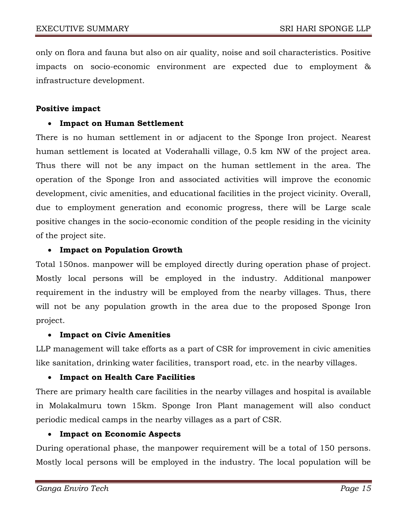only on flora and fauna but also on air quality, noise and soil characteristics. Positive impacts on socio-economic environment are expected due to employment & infrastructure development.

#### **Positive impact**

### **Impact on Human Settlement**

There is no human settlement in or adjacent to the Sponge Iron project. Nearest human settlement is located at Voderahalli village, 0.5 km NW of the project area. Thus there will not be any impact on the human settlement in the area. The operation of the Sponge Iron and associated activities will improve the economic development, civic amenities, and educational facilities in the project vicinity. Overall, due to employment generation and economic progress, there will be Large scale positive changes in the socio-economic condition of the people residing in the vicinity of the project site.

### **Impact on Population Growth**

Total 150nos. manpower will be employed directly during operation phase of project. Mostly local persons will be employed in the industry. Additional manpower requirement in the industry will be employed from the nearby villages. Thus, there will not be any population growth in the area due to the proposed Sponge Iron project.

### **Impact on Civic Amenities**

LLP management will take efforts as a part of CSR for improvement in civic amenities like sanitation, drinking water facilities, transport road, etc. in the nearby villages.

### **Impact on Health Care Facilities**

There are primary health care facilities in the nearby villages and hospital is available in Molakalmuru town 15km. Sponge Iron Plant management will also conduct periodic medical camps in the nearby villages as a part of CSR.

### **Impact on Economic Aspects**

During operational phase, the manpower requirement will be a total of 150 persons. Mostly local persons will be employed in the industry. The local population will be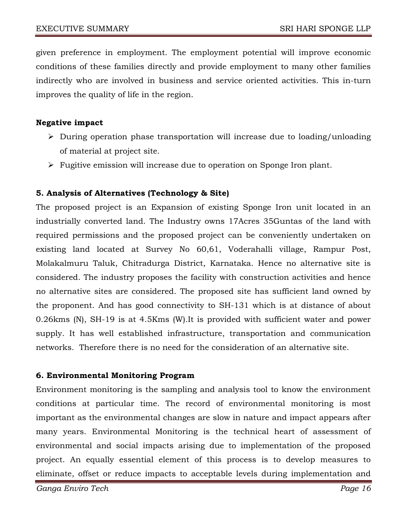given preference in employment. The employment potential will improve economic conditions of these families directly and provide employment to many other families indirectly who are involved in business and service oriented activities. This in-turn improves the quality of life in the region.

### **Negative impact**

- $\triangleright$  During operation phase transportation will increase due to loading/unloading of material at project site.
- $\triangleright$  Fugitive emission will increase due to operation on Sponge Iron plant.

## **5. Analysis of Alternatives (Technology & Site)**

The proposed project is an Expansion of existing Sponge Iron unit located in an industrially converted land. The Industry owns 17Acres 35Guntas of the land with required permissions and the proposed project can be conveniently undertaken on existing land located at Survey No 60,61, Voderahalli village, Rampur Post, Molakalmuru Taluk, Chitradurga District, Karnataka. Hence no alternative site is considered. The industry proposes the facility with construction activities and hence no alternative sites are considered. The proposed site has sufficient land owned by the proponent. And has good connectivity to SH-131 which is at distance of about 0.26kms (N), SH-19 is at 4.5Kms (W).It is provided with sufficient water and power supply. It has well established infrastructure, transportation and communication networks. Therefore there is no need for the consideration of an alternative site.

### **6. Environmental Monitoring Program**

Environment monitoring is the sampling and analysis tool to know the environment conditions at particular time. The record of environmental monitoring is most important as the environmental changes are slow in nature and impact appears after many years. Environmental Monitoring is the technical heart of assessment of environmental and social impacts arising due to implementation of the proposed project. An equally essential element of this process is to develop measures to eliminate, offset or reduce impacts to acceptable levels during implementation and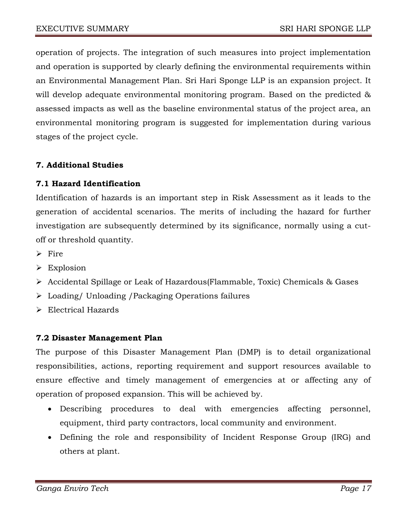operation of projects. The integration of such measures into project implementation and operation is supported by clearly defining the environmental requirements within an Environmental Management Plan. Sri Hari Sponge LLP is an expansion project. It will develop adequate environmental monitoring program. Based on the predicted & assessed impacts as well as the baseline environmental status of the project area, an environmental monitoring program is suggested for implementation during various stages of the project cycle.

# **7. Additional Studies**

## **7.1 Hazard Identification**

Identification of hazards is an important step in Risk Assessment as it leads to the generation of accidental scenarios. The merits of including the hazard for further investigation are subsequently determined by its significance, normally using a cutoff or threshold quantity.

- $\triangleright$  Fire
- $\triangleright$  Explosion
- Accidental Spillage or Leak of Hazardous(Flammable, Toxic) Chemicals & Gases
- Loading/ Unloading /Packaging Operations failures
- Electrical Hazards

## **7.2 Disaster Management Plan**

The purpose of this Disaster Management Plan (DMP) is to detail organizational responsibilities, actions, reporting requirement and support resources available to ensure effective and timely management of emergencies at or affecting any of operation of proposed expansion. This will be achieved by.

- Describing procedures to deal with emergencies affecting personnel, equipment, third party contractors, local community and environment.
- Defining the role and responsibility of Incident Response Group (IRG) and others at plant.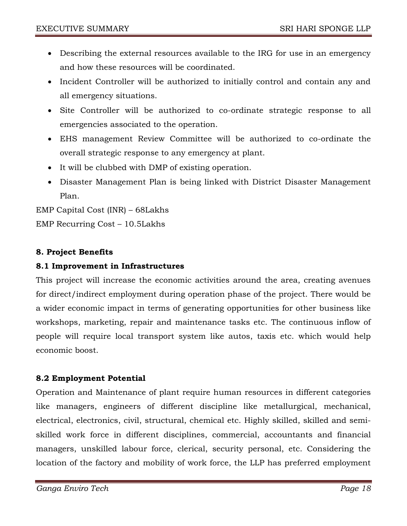- Describing the external resources available to the IRG for use in an emergency and how these resources will be coordinated.
- Incident Controller will be authorized to initially control and contain any and all emergency situations.
- Site Controller will be authorized to co-ordinate strategic response to all emergencies associated to the operation.
- EHS management Review Committee will be authorized to co-ordinate the overall strategic response to any emergency at plant.
- It will be clubbed with DMP of existing operation.
- Disaster Management Plan is being linked with District Disaster Management Plan.

EMP Capital Cost (INR) – 68Lakhs EMP Recurring Cost – 10.5Lakhs

# **8. Project Benefits**

## **8.1 Improvement in Infrastructures**

This project will increase the economic activities around the area, creating avenues for direct/indirect employment during operation phase of the project. There would be a wider economic impact in terms of generating opportunities for other business like workshops, marketing, repair and maintenance tasks etc. The continuous inflow of people will require local transport system like autos, taxis etc. which would help economic boost.

## **8.2 Employment Potential**

Operation and Maintenance of plant require human resources in different categories like managers, engineers of different discipline like metallurgical, mechanical, electrical, electronics, civil, structural, chemical etc. Highly skilled, skilled and semiskilled work force in different disciplines, commercial, accountants and financial managers, unskilled labour force, clerical, security personal, etc. Considering the location of the factory and mobility of work force, the LLP has preferred employment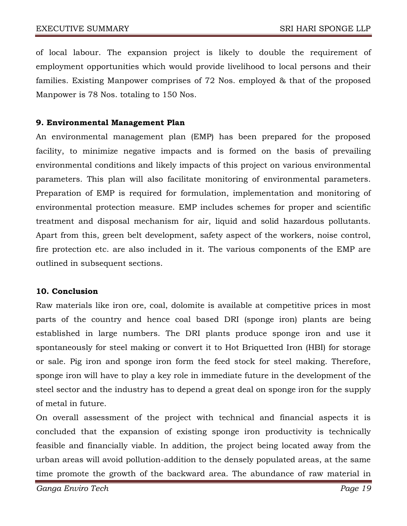of local labour. The expansion project is likely to double the requirement of employment opportunities which would provide livelihood to local persons and their families. Existing Manpower comprises of 72 Nos. employed & that of the proposed Manpower is 78 Nos. totaling to 150 Nos.

## **9. Environmental Management Plan**

An environmental management plan (EMP) has been prepared for the proposed facility, to minimize negative impacts and is formed on the basis of prevailing environmental conditions and likely impacts of this project on various environmental parameters. This plan will also facilitate monitoring of environmental parameters. Preparation of EMP is required for formulation, implementation and monitoring of environmental protection measure. EMP includes schemes for proper and scientific treatment and disposal mechanism for air, liquid and solid hazardous pollutants. Apart from this, green belt development, safety aspect of the workers, noise control, fire protection etc. are also included in it. The various components of the EMP are outlined in subsequent sections.

### **10. Conclusion**

Raw materials like iron ore, coal, dolomite is available at competitive prices in most parts of the country and hence coal based DRI (sponge iron) plants are being established in large numbers. The DRI plants produce sponge iron and use it spontaneously for steel making or convert it to Hot Briquetted Iron (HBI) for storage or sale. Pig iron and sponge iron form the feed stock for steel making. Therefore, sponge iron will have to play a key role in immediate future in the development of the steel sector and the industry has to depend a great deal on sponge iron for the supply of metal in future.

On overall assessment of the project with technical and financial aspects it is concluded that the expansion of existing sponge iron productivity is technically feasible and financially viable. In addition, the project being located away from the urban areas will avoid pollution-addition to the densely populated areas, at the same time promote the growth of the backward area. The abundance of raw material in